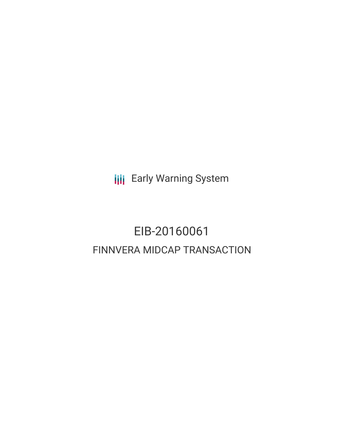**III** Early Warning System

# EIB-20160061 FINNVERA MIDCAP TRANSACTION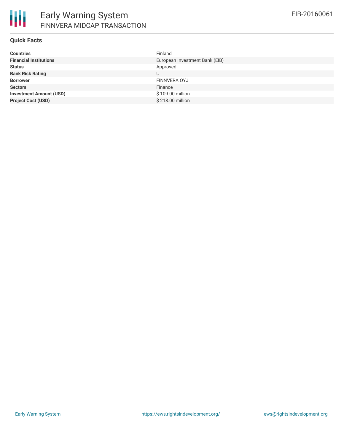

### **Quick Facts**

| <b>Countries</b>               | Finland                        |
|--------------------------------|--------------------------------|
| <b>Financial Institutions</b>  | European Investment Bank (EIB) |
| <b>Status</b>                  | Approved                       |
| <b>Bank Risk Rating</b>        | U                              |
| <b>Borrower</b>                | FINNVERA OYJ                   |
| <b>Sectors</b>                 | Finance                        |
| <b>Investment Amount (USD)</b> | \$109.00 million               |
| <b>Project Cost (USD)</b>      | \$218.00 million               |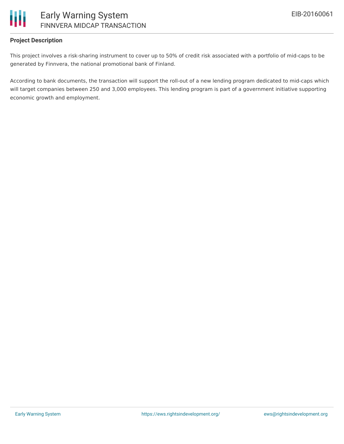

# **Project Description**

This project involves a risk-sharing instrument to cover up to 50% of credit risk associated with a portfolio of mid-caps to be generated by Finnvera, the national promotional bank of Finland.

According to bank documents, the transaction will support the roll-out of a new lending program dedicated to mid-caps which will target companies between 250 and 3,000 employees. This lending program is part of a government initiative supporting economic growth and employment.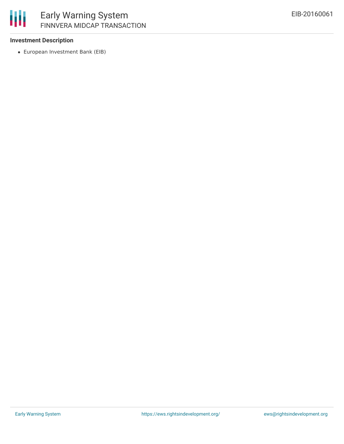

### **Investment Description**

European Investment Bank (EIB)